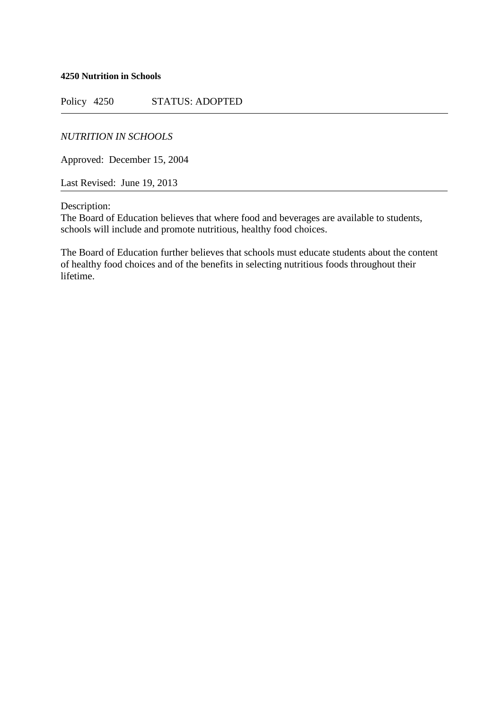**4250 Nutrition in Schools**

Policy 4250 STATUS: ADOPTED

*NUTRITION IN SCHOOLS*

Approved: December 15, 2004

Last Revised: June 19, 2013

Description:

The Board of Education believes that where food and beverages are available to students, schools will include and promote nutritious, healthy food choices.

The Board of Education further believes that schools must educate students about the content of healthy food choices and of the benefits in selecting nutritious foods throughout their lifetime.